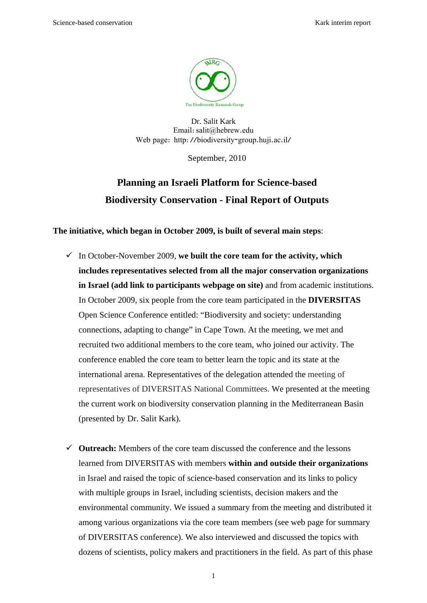

Dr. Salit Kark Email:salit@hebrew.edu Web page: http://biodiversity-group.huji.ac.il/

September, 2010

## **Planning an Israeli Platform for Science-based Biodiversity Conservation - Final Report of Outputs**

**The initiative, which began in October 2009, is built of several main steps**:

- $\checkmark$  In October-November 2009, we built the core team for the activity, which **includes representatives selected from all the major conservation organizations in Israel (add link to participants webpage on site)** and from academic institutions. In October 2009, six people from the core team participated in the **DIVERSITAS**  Open Science Conference entitled: "Biodiversity and society: understanding connections, adapting to change" in Cape Town. At the meeting, we met and recruited two additional members to the core team, who joined our activity. The conference enabled the core team to better learn the topic and its state at the international arena. Representatives of the delegation attended the meeting of representatives of DIVERSITAS National Committees. We presented at the meeting the current work on biodiversity conservation planning in the Mediterranean Basin (presented by Dr. Salit Kark).
- $\checkmark$  **Outreach:** Members of the core team discussed the conference and the lessons learned from DIVERSITAS with members **within and outside their organizations** in Israel and raised the topic of science-based conservation and its links to policy with multiple groups in Israel, including scientists, decision makers and the environmental community. We issued a summary from the meeting and distributed it among various organizations via the core team members (see web page for summary of DIVERSITAS conference). We also interviewed and discussed the topics with dozens of scientists, policy makers and practitioners in the field. As part of this phase

1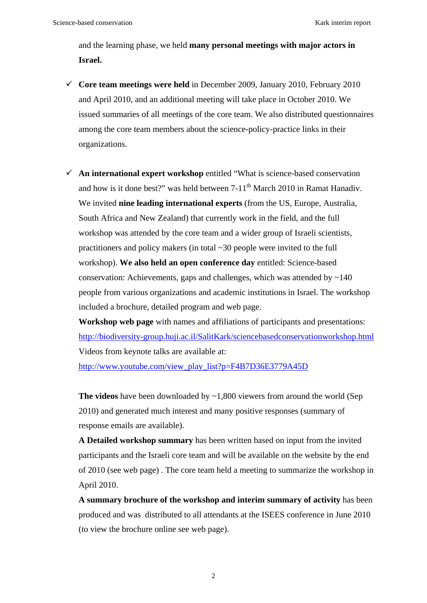and the learning phase, we held **many personal meetings with major actors in Israel.**

- $\checkmark$  Core team meetings were held in December 2009, January 2010, February 2010 and April 2010, and an additional meeting will take place in October 2010. We issued summaries of all meetings of the core team. We also distributed questionnaires among the core team members about the science-policy-practice links in their organizations.
- $\checkmark$  An international expert workshop entitled "What is science-based conservation" and how is it done best?" was held between  $7-11^{th}$  March 2010 in Ramat Hanadiv. We invited **nine leading international experts** (from the US, Europe, Australia, South Africa and New Zealand) that currently work in the field, and the full workshop was attended by the core team and a wider group of Israeli scientists, practitioners and policy makers (in total ~30 people were invited to the full workshop). **We also held an open conference day** entitled: Science-based conservation: Achievements, gaps and challenges, which was attended by  $\sim$ 140 people from various organizations and academic institutions in Israel. The workshop included a brochure, detailed program and web page.

**Workshop web page** with names and affiliations of participants and presentations: http://biodiversity-group.huji.ac.il/SalitKark/sciencebasedconservationworkshop.html Videos from keynote talks are available at:

http://www.youtube.com/view\_play\_list?p=F4B7D36E3779A45D

**The videos** have been downloaded by ~1,800 viewers from around the world (Sep 2010) and generated much interest and many positive responses (summary of response emails are available).

**A Detailed workshop summary** has been written based on input from the invited participants and the Israeli core team and will be available on the website by the end of 2010 (see web page) . The core team held a meeting to summarize the workshop in April 2010.

**A summary brochure of the workshop and interim summary of activity** has been produced and was distributed to all attendants at the ISEES conference in June 2010 (to view the brochure online see web page).

2